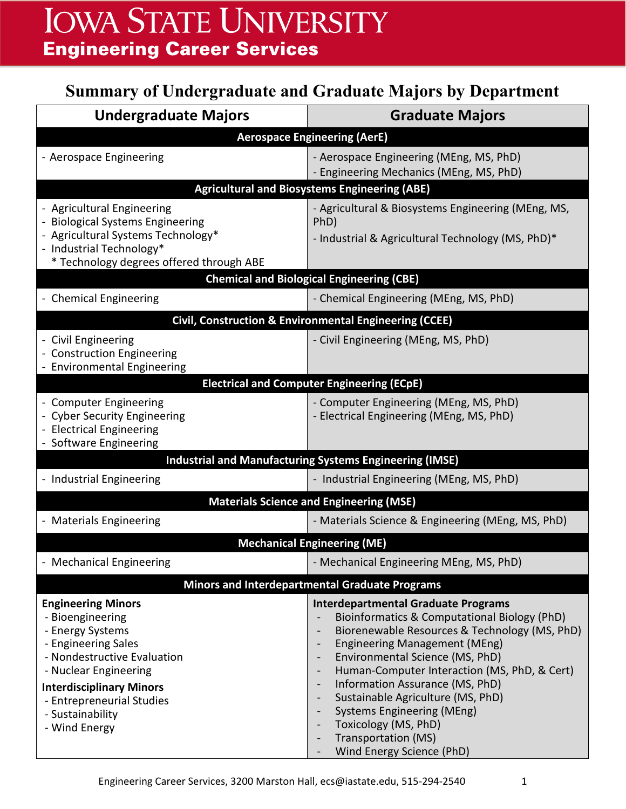# **Summary of Undergraduate and Graduate Majors by Department**

| <b>Aerospace Engineering (AerE)</b>                    |  |  |
|--------------------------------------------------------|--|--|
|                                                        |  |  |
|                                                        |  |  |
| <b>Agricultural and Biosystems Engineering (ABE)</b>   |  |  |
| - Agricultural & Biosystems Engineering (MEng, MS,     |  |  |
|                                                        |  |  |
|                                                        |  |  |
|                                                        |  |  |
|                                                        |  |  |
|                                                        |  |  |
| Civil, Construction & Environmental Engineering (CCEE) |  |  |
|                                                        |  |  |
|                                                        |  |  |
|                                                        |  |  |
|                                                        |  |  |
|                                                        |  |  |
|                                                        |  |  |
|                                                        |  |  |
|                                                        |  |  |
|                                                        |  |  |
| <b>Materials Science and Engineering (MSE)</b>         |  |  |
| - Materials Science & Engineering (MEng, MS, PhD)      |  |  |
|                                                        |  |  |
|                                                        |  |  |
|                                                        |  |  |
|                                                        |  |  |
| Bioinformatics & Computational Biology (PhD)           |  |  |
| Biorenewable Resources & Technology (MS, PhD)          |  |  |
|                                                        |  |  |
| Human-Computer Interaction (MS, PhD, & Cert)           |  |  |
|                                                        |  |  |
|                                                        |  |  |
|                                                        |  |  |
|                                                        |  |  |
| - Industrial & Agricultural Technology (MS, PhD)*      |  |  |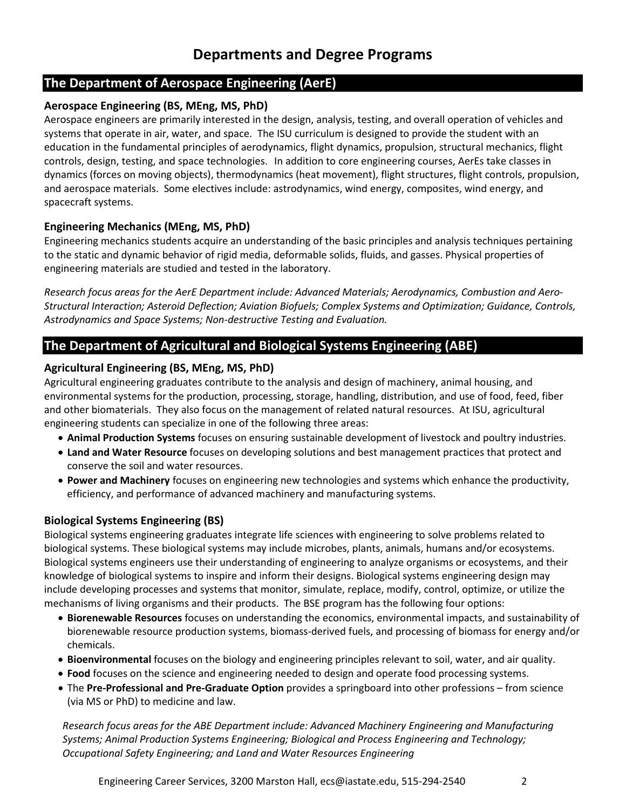# **Departments and Degree Programs**

### **The Department of Aerospace Engineering (AerE)**

#### **Aerospace Engineering (BS, MEng, MS, PhD)**

Aerospace engineers are primarily interested in the design, analysis, testing, and overall operation of vehicles and systems that operate in air, water, and space. The ISU curriculum is designed to provide the student with an education in the fundamental principles of aerodynamics, flight dynamics, propulsion, structural mechanics, flight controls, design, testing, and space technologies.In addition to core engineering courses, AerEs take classes in dynamics (forces on moving objects), thermodynamics (heat movement), flight structures, flight controls, propulsion, and aerospace materials. Some electives include: astrodynamics, wind energy, composites, wind energy, and spacecraft systems.

#### **Engineering Mechanics (MEng, MS, PhD)**

Engineering mechanics students acquire an understanding of the basic principles and analysis techniques pertaining to the static and dynamic behavior of rigid media, deformable solids, fluids, and gasses. Physical properties of engineering materials are studied and tested in the laboratory.

*Research focus areas for the AerE Department include: Advanced Materials; Aerodynamics, Combustion and Aero-Structural Interaction; Asteroid Deflection; Aviation Biofuels; Complex Systems and Optimization; Guidance, Controls, Astrodynamics and Space Systems; Non-destructive Testing and Evaluation.*

# **The Department of Agricultural and Biological Systems Engineering (ABE)**

#### **Agricultural Engineering (BS, MEng, MS, PhD)**

Agricultural engineering graduates contribute to the analysis and design of machinery, animal housing, and environmental systems for the production, processing, storage, handling, distribution, and use of food, feed, fiber and other biomaterials. They also focus on the management of related natural resources. At ISU, agricultural engineering students can specialize in one of the following three areas:

- **Animal Production Systems** focuses on ensuring sustainable development of livestock and poultry industries.
- **Land and Water Resource** focuses on developing [solutions and best management practices that protect and](http://www.abe.iastate.edu/wp-content/blogs.dir/19/files/2012/12/AE-LWR-curriculum-2013-2014.pdf)  [conserve the soil and water resources.](http://www.abe.iastate.edu/wp-content/blogs.dir/19/files/2012/12/AE-LWR-curriculum-2013-2014.pdf)
- **Power and Machinery** focuses on engineering new technologies and systems which enhance the productivity, efficiency, and performance of advanced machinery and manufacturing systems.

#### **Biological Systems Engineering (BS)**

Biological systems engineering graduates integrate life sciences with engineering to solve problems related to biological systems. These biological systems may include microbes, plants, animals, humans and/or ecosystems. Biological systems engineers use their understanding of engineering to analyze organisms or ecosystems, and their knowledge of biological systems to inspire and inform their designs. Biological systems engineering design may include developing processes and systems that monitor, simulate, replace, modify, control, optimize, or utilize the mechanisms of living organisms and their products. The BSE program has the following four options:

- **Biorenewable Resources** focuses on understanding the economics, environmental impacts, and sustainability of biorenewable resource production systems, biomass-derived fuels, and processing of biomass for energy and/or chemicals.
- **Bioenvironmental** focuses on the biology and engineering principles relevant to soil, water, and air quality.
- **Food** focuses on the science and engineering needed to design and operate food processing systems.
- The **Pre-Professional and Pre-Graduate Option** provides a springboard into other professions from science (via MS or PhD) to medicine and law.

*Research focus areas for the ABE Department include: Advanced Machinery Engineering and Manufacturing Systems; Animal Production Systems Engineering; Biological and Process Engineering and Technology; Occupational Safety Engineering; and Land and Water Resources Engineering*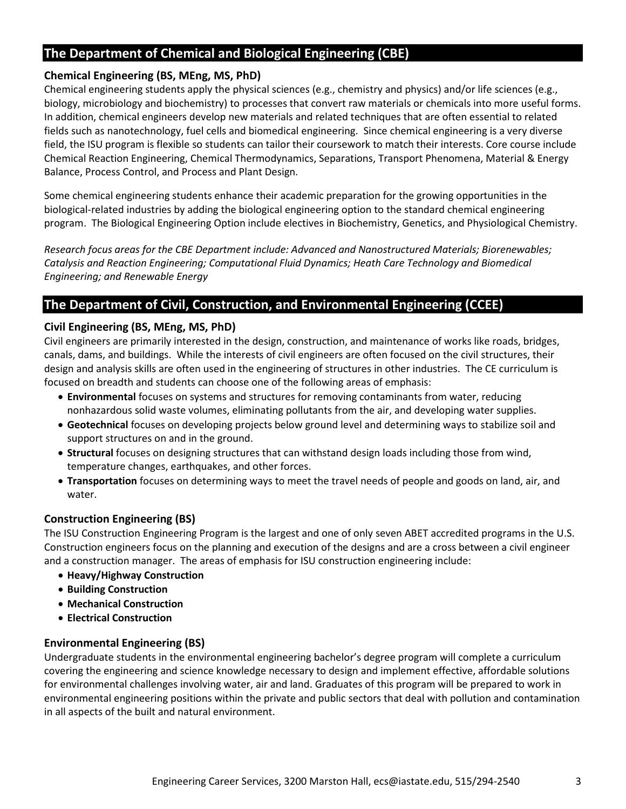# **The Department of Chemical and Biological Engineering (CBE)**

#### **Chemical Engineering (BS, MEng, MS, PhD)**

Chemical engineering students apply the physical sciences (e.g., chemistry and physics) and/or life sciences (e.g., biology, microbiology and biochemistry) to processes that convert raw materials or chemicals into more useful forms. In addition, chemical engineers develop new materials and related techniques that are often essential to related fields such as nanotechnology, fuel cells and biomedical engineering. Since chemical engineering is a very diverse field, the ISU program is flexible so students can tailor their coursework to match their interests. Core course include Chemical Reaction Engineering, Chemical Thermodynamics, Separations, Transport Phenomena, Material & Energy Balance, Process Control, and Process and Plant Design.

Some chemical engineering students enhance their academic preparation for the growing opportunities in the biological-related industries by adding the biological engineering option to the standard chemical engineering program. The Biological Engineering Option include electives in Biochemistry, Genetics, and Physiological Chemistry.

*Research focus areas for the CBE Department include: Advanced and Nanostructured Materials; Biorenewables; Catalysis and Reaction Engineering; Computational Fluid Dynamics; Heath Care Technology and Biomedical Engineering; and Renewable Energy*

## **The Department of Civil, Construction, and Environmental Engineering (CCEE)**

#### **Civil Engineering (BS, MEng, MS, PhD)**

Civil engineers are primarily interested in the design, construction, and maintenance of works like roads, bridges, canals, dams, and buildings. While the interests of civil engineers are often focused on the civil structures, their design and analysis skills are often used in the engineering of structures in other industries. The CE curriculum is focused on breadth and students can choose one of the following areas of emphasis:

- **Environmental** focuses on systems and structures for removing contaminants from water, reducing nonhazardous solid waste volumes, eliminating pollutants from the air, and developing water supplies.
- **Geotechnical** focuses on developing projects below ground level and determining ways to stabilize soil and support structures on and in the ground.
- **Structural** focuses on designing structures that can withstand design loads including those from wind, temperature changes, earthquakes, and other forces.
- **Transportation** focuses on determining ways to meet the travel needs of people and goods on land, air, and water.

#### **Construction Engineering (BS)**

The ISU Construction Engineering Program is the largest and one of only seven ABET accredited programs in the U.S. Construction engineers focus on the planning and execution of the designs and are a cross between a civil engineer and a construction manager. The areas of emphasis for ISU construction engineering include:

- **Heavy/Highway Construction**
- **Building Construction**
- **Mechanical Construction**
- **Electrical Construction**

#### **Environmental Engineering (BS)**

Undergraduate students in the environmental engineering bachelor's degree program will complete a curriculum covering the engineering and science knowledge necessary to design and implement effective, affordable solutions for environmental challenges involving water, air and land. Graduates of this program will be prepared to work in environmental engineering positions within the private and public sectors that deal with pollution and contamination in all aspects of the built and natural environment.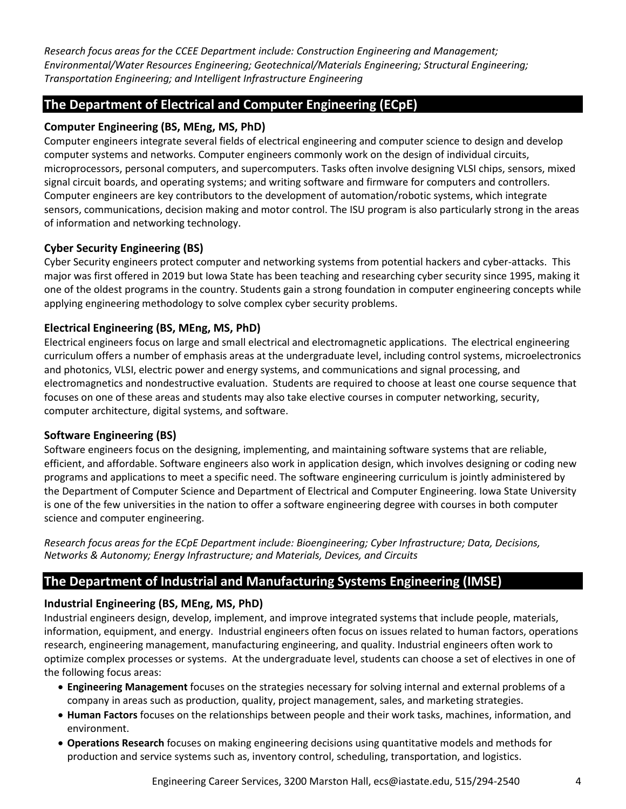*Research focus areas for the CCEE Department include: Construction Engineering and Management; Environmental/Water Resources Engineering; Geotechnical/Materials Engineering; Structural Engineering; Transportation Engineering; and Intelligent Infrastructure Engineering*

## **The Department of Electrical and Computer Engineering (ECpE)**

#### **Computer Engineering (BS, MEng, MS, PhD)**

Computer engineers integrate several fields of electrical engineering and computer science to design and develop computer systems and networks. Computer engineers commonly work on the design of individual circuits, microprocessors, personal computers, and supercomputers. Tasks often involve designing VLSI chips, sensors, mixed signal circuit boards, and operating systems; and writing software and firmware for computers and controllers. Computer engineers are key contributors to the development of automation/robotic systems, which integrate sensors, communications, decision making and motor control. The ISU program is also particularly strong in the areas of information and networking technology.

#### **Cyber Security Engineering (BS)**

Cyber Security engineers protect computer and networking systems from potential hackers and cyber-attacks. This major was first offered in 2019 but Iowa State has been teaching and researching cyber security since 1995, making it one of the oldest programs in the country. Students gain a strong foundation in computer engineering concepts while applying engineering methodology to solve complex cyber security problems.

#### **Electrical Engineering (BS, MEng, MS, PhD)**

Electrical engineers focus on large and small electrical and electromagnetic applications. The electrical engineering curriculum offers a number of emphasis areas at the undergraduate level, including control systems, microelectronics and photonics, VLSI, electric power and energy systems, and communications and signal processing, and electromagnetics and nondestructive evaluation. Students are required to choose at least one course sequence that focuses on one of these areas and students may also take elective courses in computer networking, security, computer architecture, digital systems, and software.

#### **Software Engineering (BS)**

Software engineers focus on the designing, implementing, and maintaining software systems that are reliable, efficient, and affordable. Software engineers also work in application design, which involves designing or coding new programs and applications to meet a specific need. The software engineering curriculum is jointly administered by the Department of Computer Science and Department of Electrical and Computer Engineering. Iowa State University is one of the few universities in the nation to offer a software engineering degree with courses in both computer science and computer engineering.

*Research focus areas for the ECpE Department include: Bioengineering; Cyber Infrastructure; Data, Decisions, Networks & Autonomy; Energy Infrastructure; and Materials, Devices, and Circuits*

# **The Department of Industrial and Manufacturing Systems Engineering (IMSE)**

#### **Industrial Engineering (BS, MEng, MS, PhD)**

Industrial engineers design, develop, implement, and improve integrated systems that include people, materials, information, equipment, and energy. Industrial engineers often focus on issues related to human factors, operations research, engineering management, manufacturing engineering, and quality. Industrial engineers often work to optimize complex processes or systems. At the undergraduate level, students can choose a set of electives in one of the following focus areas:

- **Engineering Management** focuses on the strategies necessary for solving internal and external problems of a company in areas such as production, quality, project management, sales, and marketing strategies.
- **Human Factors** focuses on the relationships between people and their work tasks, machines, information, and environment.
- **Operations Research** focuses on making engineering decisions using quantitative models and methods for production and service systems such as, inventory control, scheduling, transportation, and logistics.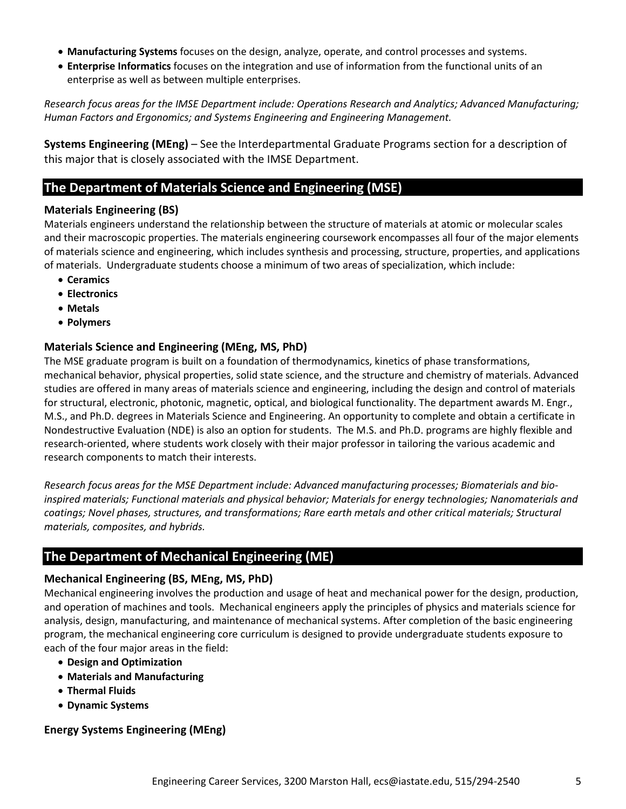- **Manufacturing Systems** focuses on the design, analyze, operate, and control processes and systems.
- **Enterprise Informatics** focuses on the integration and use of information from the functional units of an enterprise as well as between multiple enterprises.

*Research focus areas for the IMSE Department include: Operations Research and Analytics; Advanced Manufacturing; Human Factors and Ergonomics; and Systems Engineering and Engineering Management.*

**Systems Engineering (MEng)** – See the Interdepartmental Graduate Programs section for a description of this major that is closely associated with the IMSE Department.

## **The Department of Materials Science and Engineering (MSE)**

#### **Materials Engineering (BS)**

Materials engineers understand the relationship between the structure of materials at atomic or molecular scales and their macroscopic properties. The materials engineering coursework encompasses all four of the major elements of materials science and engineering, which includes synthesis and processing, structure, properties, and applications of materials. Undergraduate students choose a minimum of two areas of specialization, which include:

- **Ceramics**
- **Electronics**
- **Metals**
- **Polymers**

#### **Materials Science and Engineering (MEng, MS, PhD)**

The MSE graduate program is built on a foundation of thermodynamics, kinetics of phase transformations, mechanical behavior, physical properties, solid state science, and the structure and chemistry of materials. Advanced studies are offered in many areas of materials science and engineering, including the design and control of materials for structural, electronic, photonic, magnetic, optical, and biological functionality. The department awards M. Engr., M.S., and Ph.D. degrees in Materials Science and Engineering. An opportunity to complete and obtain a certificate in Nondestructive Evaluation (NDE) is also an option for students. The M.S. and Ph.D. programs are highly flexible and research-oriented, where students work closely with their major professor in tailoring the various academic and research components to match their interests.

*Research focus areas for the MSE Department include: Advanced manufacturing processes; Biomaterials and bioinspired materials; Functional materials and physical behavior; Materials for energy technologies; Nanomaterials and coatings; Novel phases, structures, and transformations; Rare earth metals and other critical materials; Structural materials, composites, and hybrids.*

# **The Department of Mechanical Engineering (ME)**

#### **Mechanical Engineering (BS, MEng, MS, PhD)**

Mechanical engineering involves the production and usage of heat and mechanical power for the design, production, and operation of machines and tools. Mechanical engineers apply the principles of physics and materials science for analysis, design, manufacturing, and maintenance of mechanical systems. After completion of the basic engineering program, the mechanical engineering core curriculum is designed to provide undergraduate students exposure to each of the four major areas in the field:

- **Design and Optimization**
- **Materials and Manufacturing**
- **Thermal Fluids**
- **Dynamic Systems**

#### **Energy Systems Engineering (MEng)**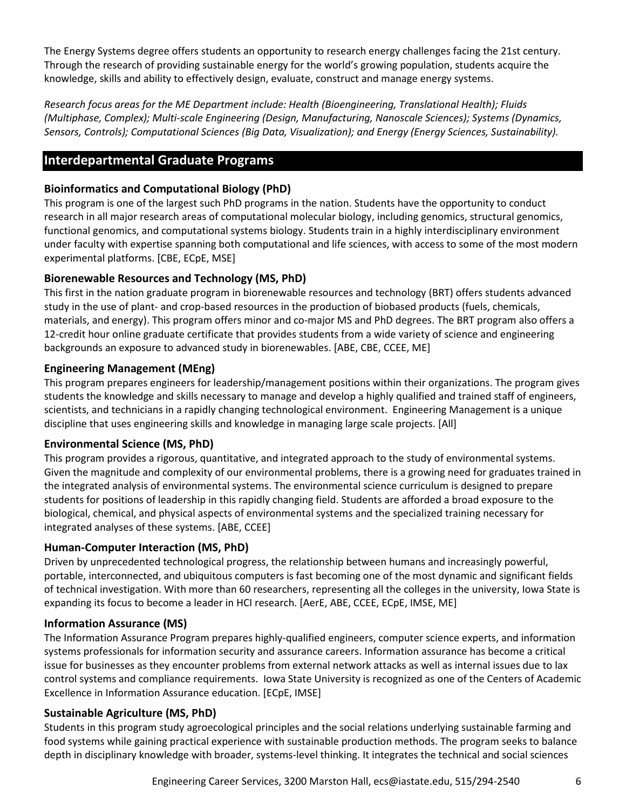The Energy Systems degree offers students an opportunity to research energy challenges facing the 21st century. Through the research of providing sustainable energy for the world's growing population, students acquire the knowledge, skills and ability to effectively design, evaluate, construct and manage energy systems.

*Research focus areas for the ME Department include: Health (Bioengineering, Translational Health); Fluids (Multiphase, Complex); Multi-scale Engineering (Design, Manufacturing, Nanoscale Sciences); Systems (Dynamics, Sensors, Controls); Computational Sciences (Big Data, Visualization); and Energy (Energy Sciences, Sustainability).*

# **Interdepartmental Graduate Programs**

#### **Bioinformatics and Computational Biology (PhD)**

This program is one of the largest such PhD programs in the nation. Students have the opportunity to conduct research in all major research areas of computational molecular biology, including genomics, structural genomics, functional genomics, and computational systems biology. Students train in a highly interdisciplinary environment under faculty with expertise spanning both computational and life sciences, with access to some of the most modern experimental platforms. [CBE, ECpE, MSE]

#### **Biorenewable Resources and Technology (MS, PhD)**

This first in the nation graduate program in biorenewable resources and technology (BRT) offers students advanced study in the use of plant- and crop-based resources in the production of biobased products (fuels, chemicals, materials, and energy). This program offers minor and co-major MS and PhD degrees. The BRT program also offers a 12-credit hour online graduate certificate that provides students from a wide variety of science and engineering backgrounds an exposure to advanced study in biorenewables. [ABE, CBE, CCEE, ME]

#### **Engineering Management (MEng)**

This program prepares engineers for leadership/management positions within their organizations. The program gives students the knowledge and skills necessary to manage and develop a highly qualified and trained staff of engineers, scientists, and technicians in a rapidly changing technological environment. Engineering Management is a unique discipline that uses engineering skills and knowledge in managing large scale projects. [All]

#### **Environmental Science (MS, PhD)**

This program provides a rigorous, quantitative, and integrated approach to the study of environmental systems. Given the magnitude and complexity of our environmental problems, there is a growing need for graduates trained in the integrated analysis of environmental systems. The environmental science curriculum is designed to prepare students for positions of leadership in this rapidly changing field. Students are afforded a broad exposure to the biological, chemical, and physical aspects of environmental systems and the specialized training necessary for integrated analyses of these systems. [ABE, CCEE]

#### **Human-Computer Interaction (MS, PhD)**

Driven by unprecedented technological progress, the relationship between humans and increasingly powerful, portable, interconnected, and ubiquitous computers is fast becoming one of the most dynamic and significant fields of technical investigation. With more than 60 researchers, representing all the colleges in the university, Iowa State is expanding its focus to become a leader in HCI research. [AerE, ABE, CCEE, ECpE, IMSE, ME]

#### **Information Assurance (MS)**

The Information Assurance Program prepares highly-qualified engineers, computer science experts, and information systems professionals for information security and assurance careers. Information assurance has become a critical issue for businesses as they encounter problems from external network attacks as well as internal issues due to lax control systems and compliance requirements. Iowa State University is recognized as one of the Centers of Academic Excellence in Information Assurance education. [ECpE, IMSE]

#### **Sustainable Agriculture (MS, PhD)**

Students in this program study agroecological principles and the social relations underlying sustainable farming and food systems while gaining practical experience with sustainable production methods. The program seeks to balance depth in disciplinary knowledge with broader, systems-level thinking. It integrates the technical and social sciences